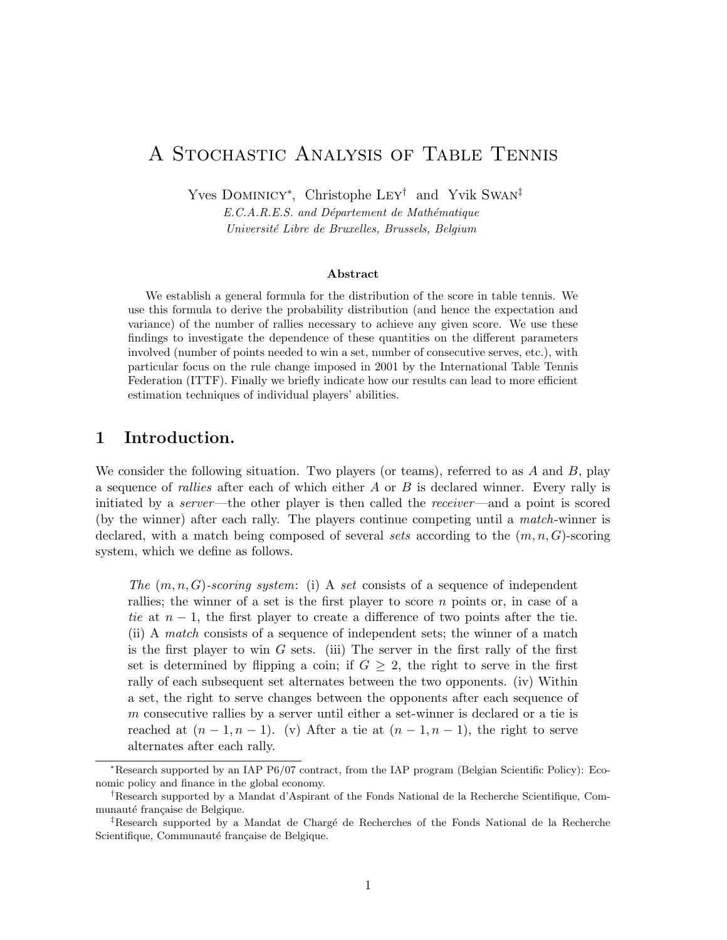# A Stochastic Analysis of Table Tennis

Yves Dominicy<sup>∗</sup> , Christophe Ley† and Yvik Swan‡

 $E.C.A.R.E.S.$  and Département de Mathématique Université Libre de Bruxelles, Brussels, Belgium

#### Abstract

We establish a general formula for the distribution of the score in table tennis. We use this formula to derive the probability distribution (and hence the expectation and variance) of the number of rallies necessary to achieve any given score. We use these findings to investigate the dependence of these quantities on the different parameters involved (number of points needed to win a set, number of consecutive serves, etc.), with particular focus on the rule change imposed in 2001 by the International Table Tennis Federation (ITTF). Finally we briefly indicate how our results can lead to more efficient estimation techniques of individual players' abilities.

# 1 Introduction.

We consider the following situation. Two players (or teams), referred to as  $A$  and  $B$ , play a sequence of *rallies* after each of which either  $A$  or  $B$  is declared winner. Every rally is initiated by a server—the other player is then called the receiver—and a point is scored (by the winner) after each rally. The players continue competing until a match-winner is declared, with a match being composed of several sets according to the  $(m, n, G)$ -scoring system, which we define as follows.

The  $(m, n, G)$ -scoring system: (i) A set consists of a sequence of independent rallies; the winner of a set is the first player to score  $n$  points or, in case of a tie at  $n-1$ , the first player to create a difference of two points after the tie. (ii) A match consists of a sequence of independent sets; the winner of a match is the first player to win  $G$  sets. (iii) The server in the first rally of the first set is determined by flipping a coin; if  $G \geq 2$ , the right to serve in the first rally of each subsequent set alternates between the two opponents. (iv) Within a set, the right to serve changes between the opponents after each sequence of m consecutive rallies by a server until either a set-winner is declared or a tie is reached at  $(n-1, n-1)$ . (v) After a tie at  $(n-1, n-1)$ , the right to serve alternates after each rally.

<sup>∗</sup>Research supported by an IAP P6/07 contract, from the IAP program (Belgian Scientific Policy): Economic policy and finance in the global economy.

<sup>†</sup>Research supported by a Mandat d'Aspirant of the Fonds National de la Recherche Scientifique, Communauté française de Belgique.

 $\ddot{\text{F}}$ Research supported by a Mandat de Chargé de Recherches of the Fonds National de la Recherche Scientifique, Communauté française de Belgique.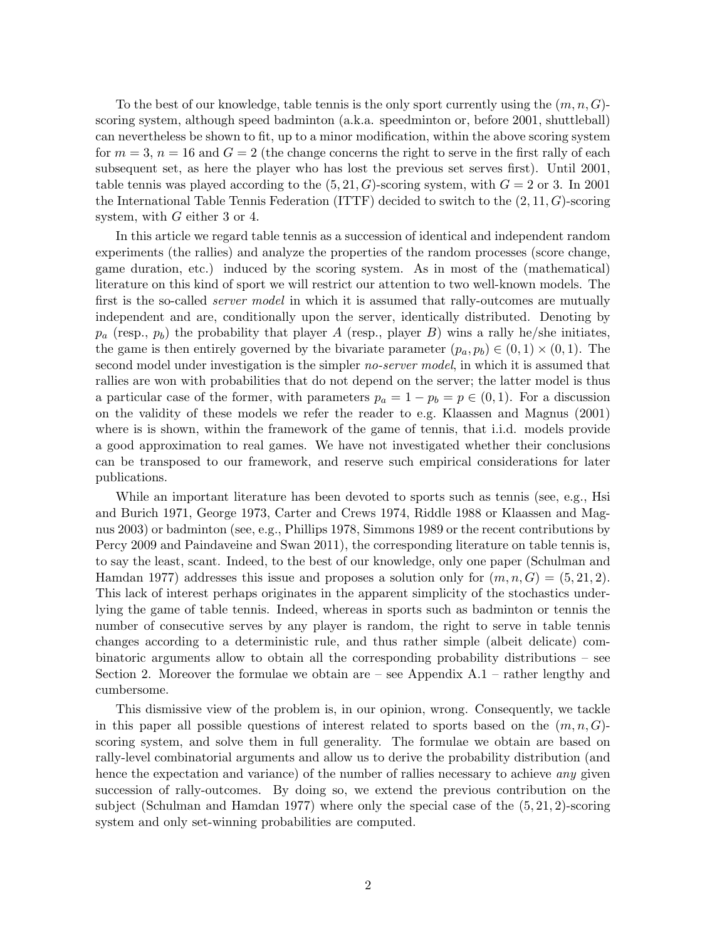To the best of our knowledge, table tennis is the only sport currently using the  $(m, n, G)$ scoring system, although speed badminton (a.k.a. speedminton or, before 2001, shuttleball) can nevertheless be shown to fit, up to a minor modification, within the above scoring system for  $m = 3$ ,  $n = 16$  and  $G = 2$  (the change concerns the right to serve in the first rally of each subsequent set, as here the player who has lost the previous set serves first). Until 2001, table tennis was played according to the  $(5, 21, G)$ -scoring system, with  $G = 2$  or 3. In 2001 the International Table Tennis Federation (ITTF) decided to switch to the  $(2, 11, G)$ -scoring system, with G either 3 or 4.

In this article we regard table tennis as a succession of identical and independent random experiments (the rallies) and analyze the properties of the random processes (score change, game duration, etc.) induced by the scoring system. As in most of the (mathematical) literature on this kind of sport we will restrict our attention to two well-known models. The first is the so-called *server model* in which it is assumed that rally-outcomes are mutually independent and are, conditionally upon the server, identically distributed. Denoting by  $p_a$  (resp.,  $p_b$ ) the probability that player A (resp., player B) wins a rally he/she initiates, the game is then entirely governed by the bivariate parameter  $(p_a, p_b) \in (0, 1) \times (0, 1)$ . The second model under investigation is the simpler *no-server model*, in which it is assumed that rallies are won with probabilities that do not depend on the server; the latter model is thus a particular case of the former, with parameters  $p_a = 1 - p_b = p \in (0, 1)$ . For a discussion on the validity of these models we refer the reader to e.g. Klaassen and Magnus (2001) where is is shown, within the framework of the game of tennis, that i.i.d. models provide a good approximation to real games. We have not investigated whether their conclusions can be transposed to our framework, and reserve such empirical considerations for later publications.

While an important literature has been devoted to sports such as tennis (see, e.g., Hsi and Burich 1971, George 1973, Carter and Crews 1974, Riddle 1988 or Klaassen and Magnus 2003) or badminton (see, e.g., Phillips 1978, Simmons 1989 or the recent contributions by Percy 2009 and Paindaveine and Swan 2011), the corresponding literature on table tennis is, to say the least, scant. Indeed, to the best of our knowledge, only one paper (Schulman and Hamdan 1977) addresses this issue and proposes a solution only for  $(m, n, G) = (5, 21, 2)$ . This lack of interest perhaps originates in the apparent simplicity of the stochastics underlying the game of table tennis. Indeed, whereas in sports such as badminton or tennis the number of consecutive serves by any player is random, the right to serve in table tennis changes according to a deterministic rule, and thus rather simple (albeit delicate) combinatoric arguments allow to obtain all the corresponding probability distributions – see Section 2. Moreover the formulae we obtain are – see Appendix A.1 – rather lengthy and cumbersome.

This dismissive view of the problem is, in our opinion, wrong. Consequently, we tackle in this paper all possible questions of interest related to sports based on the  $(m, n, G)$ scoring system, and solve them in full generality. The formulae we obtain are based on rally-level combinatorial arguments and allow us to derive the probability distribution (and hence the expectation and variance) of the number of rallies necessary to achieve *any* given succession of rally-outcomes. By doing so, we extend the previous contribution on the subject (Schulman and Hamdan 1977) where only the special case of the  $(5, 21, 2)$ -scoring system and only set-winning probabilities are computed.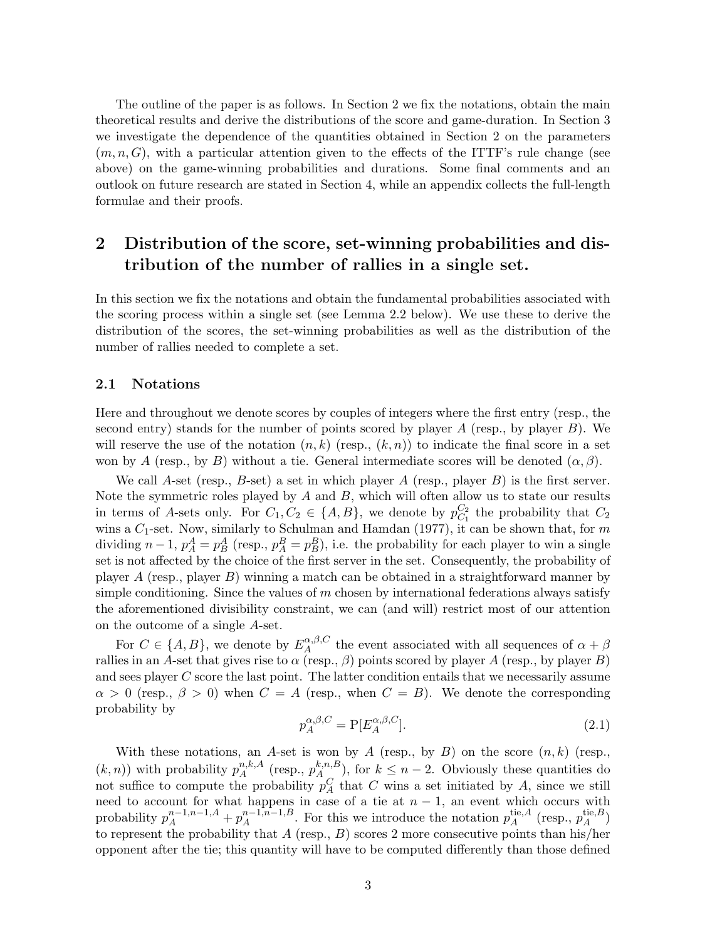The outline of the paper is as follows. In Section 2 we fix the notations, obtain the main theoretical results and derive the distributions of the score and game-duration. In Section 3 we investigate the dependence of the quantities obtained in Section 2 on the parameters  $(m, n, G)$ , with a particular attention given to the effects of the ITTF's rule change (see above) on the game-winning probabilities and durations. Some final comments and an outlook on future research are stated in Section 4, while an appendix collects the full-length formulae and their proofs.

# 2 Distribution of the score, set-winning probabilities and distribution of the number of rallies in a single set.

In this section we fix the notations and obtain the fundamental probabilities associated with the scoring process within a single set (see Lemma 2.2 below). We use these to derive the distribution of the scores, the set-winning probabilities as well as the distribution of the number of rallies needed to complete a set.

### 2.1 Notations

Here and throughout we denote scores by couples of integers where the first entry (resp., the second entry) stands for the number of points scored by player  $A$  (resp., by player  $B$ ). We will reserve the use of the notation  $(n, k)$  (resp.,  $(k, n)$ ) to indicate the final score in a set won by A (resp., by B) without a tie. General intermediate scores will be denoted  $(\alpha, \beta)$ .

We call A-set (resp.,  $B$ -set) a set in which player  $A$  (resp., player  $B$ ) is the first server. Note the symmetric roles played by  $A$  and  $B$ , which will often allow us to state our results in terms of A-sets only. For  $C_1, C_2 \in \{A, B\}$ , we denote by  $p_{C_1}^{C_2}$  $\mathcal{C}_1^2$  the probability that  $\mathcal{C}_2$ wins a  $C_1$ -set. Now, similarly to Schulman and Hamdan (1977), it can be shown that, for m dividing  $n-1$ ,  $p_A^A = p_B^A$  (resp.,  $p_A^B = p_B^B$ ), i.e. the probability for each player to win a single set is not affected by the choice of the first server in the set. Consequently, the probability of player A (resp., player B) winning a match can be obtained in a straightforward manner by simple conditioning. Since the values of  $m$  chosen by international federations always satisfy the aforementioned divisibility constraint, we can (and will) restrict most of our attention on the outcome of a single A-set.

For  $C \in \{A, B\}$ , we denote by  $E_A^{\alpha,\beta,C}$  $A^{\alpha,\beta,\mathsf{C}}_A$  the event associated with all sequences of  $\alpha+\beta$ rallies in an A-set that gives rise to  $\alpha$  (resp.,  $\beta$ ) points scored by player A (resp., by player B) and sees player C score the last point. The latter condition entails that we necessarily assume  $\alpha > 0$  (resp.,  $\beta > 0$ ) when  $C = A$  (resp., when  $C = B$ ). We denote the corresponding probability by

$$
p_A^{\alpha,\beta,C} = P[E_A^{\alpha,\beta,C}].
$$
\n(2.1)

With these notations, an A-set is won by A (resp., by B) on the score  $(n, k)$  (resp.,  $(k, n)$ ) with probability  $p_A^{n,k,A}$  $\binom{n,k,A}{A}$  (resp.,  $p_A^{k,n,B}$  $\mathbb{A}_{A_{\infty}}^{k,n,B}$ , for  $k \leq n-2$ . Obviously these quantities do not suffice to compute the probability  $p_A^C$  that C wins a set initiated by A, since we still need to account for what happens in case of a tie at  $n-1$ , an event which occurs with probability  $p_A^{n-1,n-1,A} + p_A^{n-1,n-1,B}$  $A^{n-1,n-1,B}_{A}$ . For this we introduce the notation  $p_A^{\text{tie},A}$  $\chi_A^{\text{tie},A}$  (resp.,  $p_A^{\text{tie},B}$  $_A^{\text{ue},B})$ to represent the probability that A (resp.,  $B$ ) scores 2 more consecutive points than his/her opponent after the tie; this quantity will have to be computed differently than those defined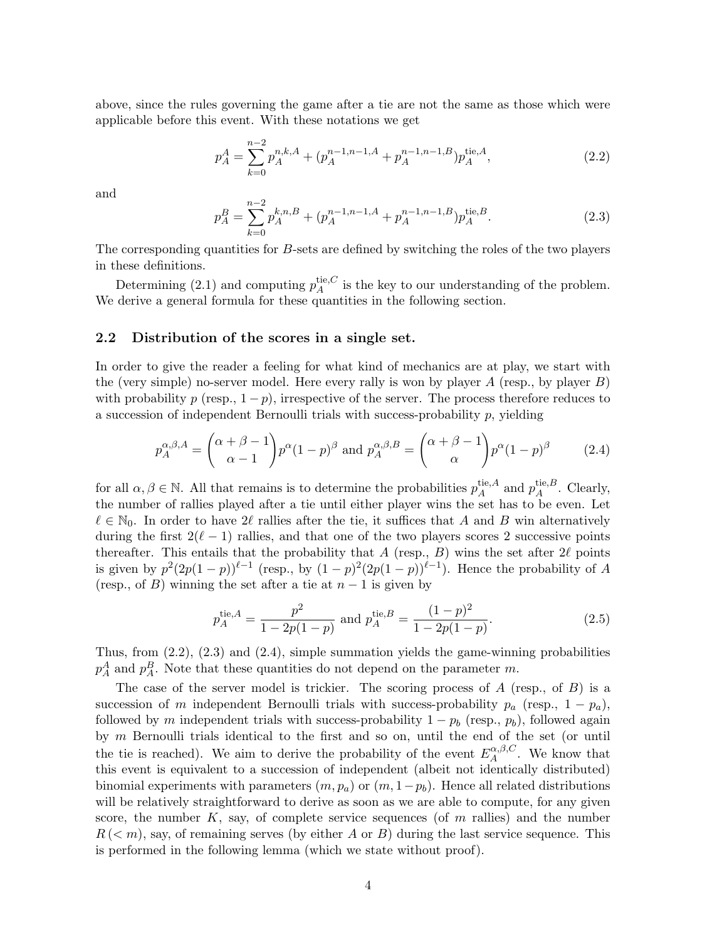above, since the rules governing the game after a tie are not the same as those which were applicable before this event. With these notations we get

$$
p_A^A = \sum_{k=0}^{n-2} p_A^{n,k,A} + (p_A^{n-1,n-1,A} + p_A^{n-1,n-1,B}) p_A^{\text{tie},A},\tag{2.2}
$$

and

$$
p_A^B = \sum_{k=0}^{n-2} p_A^{k,n,B} + (p_A^{n-1,n-1,A} + p_A^{n-1,n-1,B}) p_A^{\text{tie},B}.
$$
 (2.3)

The corresponding quantities for B-sets are defined by switching the roles of the two players in these definitions.

Determining (2.1) and computing  $p_A^{\text{tie},C}$  $A^{\text{te},\text{C}}$  is the key to our understanding of the problem. We derive a general formula for these quantities in the following section.

#### 2.2 Distribution of the scores in a single set.

In order to give the reader a feeling for what kind of mechanics are at play, we start with the (very simple) no-server model. Here every rally is won by player  $A$  (resp., by player  $B$ ) with probability p (resp.,  $1-p$ ), irrespective of the server. The process therefore reduces to a succession of independent Bernoulli trials with success-probability  $p$ , yielding

$$
p_A^{\alpha,\beta,A} = \binom{\alpha+\beta-1}{\alpha-1} p^{\alpha} (1-p)^{\beta} \text{ and } p_A^{\alpha,\beta,B} = \binom{\alpha+\beta-1}{\alpha} p^{\alpha} (1-p)^{\beta} \tag{2.4}
$$

for all  $\alpha, \beta \in \mathbb{N}$ . All that remains is to determine the probabilities  $p_A^{\text{tie},A}$ tie, A and  $p_A^{\text{tie},B}$  $_A^{\text{tie},B}$ . Clearly, the number of rallies played after a tie until either player wins the set has to be even. Let  $\ell \in \mathbb{N}_0$ . In order to have 2 $\ell$  rallies after the tie, it suffices that A and B win alternatively during the first  $2(\ell - 1)$  rallies, and that one of the two players scores 2 successive points thereafter. This entails that the probability that A (resp., B) wins the set after  $2\ell$  points is given by  $p^2(2p(1-p))^{\ell-1}$  (resp., by  $(1-p)^2(2p(1-p))^{\ell-1}$ ). Hence the probability of A (resp., of B) winning the set after a tie at  $n-1$  is given by

$$
p_A^{\text{tie},A} = \frac{p^2}{1 - 2p(1 - p)} \text{ and } p_A^{\text{tie},B} = \frac{(1 - p)^2}{1 - 2p(1 - p)}.
$$
 (2.5)

Thus, from  $(2.2)$ ,  $(2.3)$  and  $(2.4)$ , simple summation yields the game-winning probabilities  $p_A^A$  and  $p_A^B$ . Note that these quantities do not depend on the parameter m.

The case of the server model is trickier. The scoring process of  $A$  (resp., of  $B$ ) is a succession of m independent Bernoulli trials with success-probability  $p_a$  (resp.,  $1 - p_a$ ), followed by m independent trials with success-probability  $1 - p_b$  (resp.,  $p_b$ ), followed again by m Bernoulli trials identical to the first and so on, until the end of the set (or until the tie is reached). We aim to derive the probability of the event  $E^{\alpha,\beta,C}_{A}$  $A^{(\alpha,\beta,\mathcal{C})}$ . We know that this event is equivalent to a succession of independent (albeit not identically distributed) binomial experiments with parameters  $(m, p_a)$  or  $(m, 1-p_b)$ . Hence all related distributions will be relatively straightforward to derive as soon as we are able to compute, for any given score, the number  $K$ , say, of complete service sequences (of  $m$  rallies) and the number  $R \, (<\, m$ ), say, of remaining serves (by either A or B) during the last service sequence. This is performed in the following lemma (which we state without proof).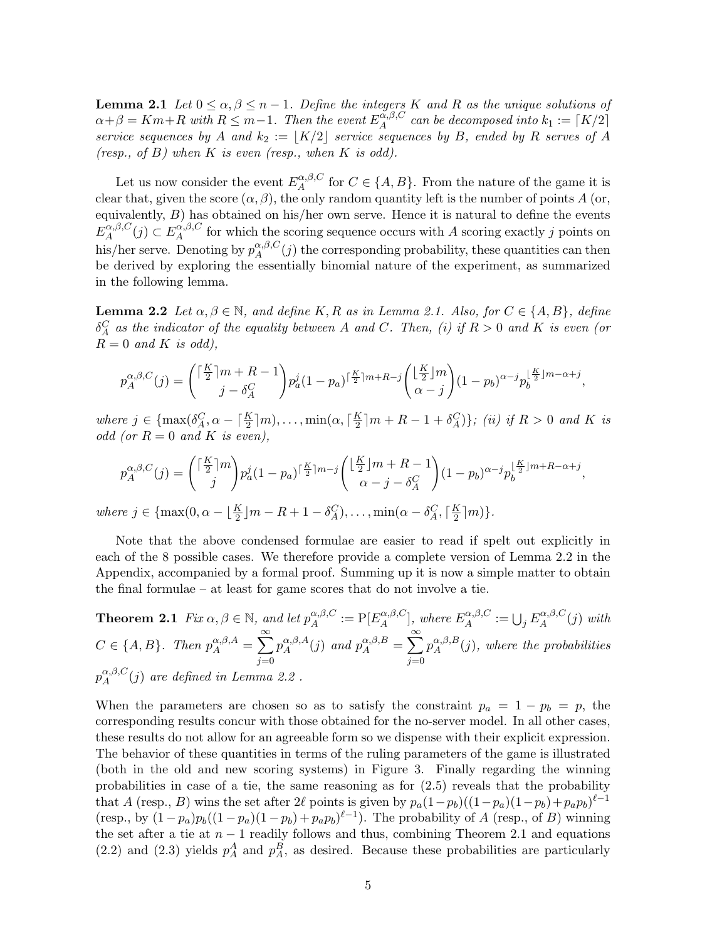**Lemma 2.1** Let  $0 \le \alpha, \beta \le n-1$ . Define the integers K and R as the unique solutions of  $\alpha + \beta = Km + R$  with  $R \leq m-1$ . Then the event  $E_A^{\alpha,\beta,C}$  $A^{(\alpha,\beta,C)}_A$  can be decomposed into  $k_1 := \lceil K/2 \rceil$ service sequences by A and  $k_2 := |K/2|$  service sequences by B, ended by R serves of A (resp., of  $B$ ) when  $K$  is even (resp., when  $K$  is odd).

Let us now consider the event  $E_A^{\alpha,\beta,C}$  $A^{\alpha,\beta,\mathsf{C}}_A$  for  $C \in \{A,B\}$ . From the nature of the game it is clear that, given the score  $(\alpha, \beta)$ , the only random quantity left is the number of points A (or, equivalently,  $B$ ) has obtained on his/her own serve. Hence it is natural to define the events  ${E}_A^{\alpha,\beta,C}$  $A^{(\alpha,\beta,C}(j) \subset E^{\alpha,\beta,C}_A$  $A_A^{\alpha,\beta,\mathcal{C}}$  for which the scoring sequence occurs with A scoring exactly j points on his/her serve. Denoting by  $p_A^{\alpha,\beta,C}$  $\alpha_{A}^{\alpha,\beta,C}(j)$  the corresponding probability, these quantities can then be derived by exploring the essentially binomial nature of the experiment, as summarized in the following lemma.

**Lemma 2.2** Let  $\alpha, \beta \in \mathbb{N}$ , and define K, R as in Lemma 2.1. Also, for  $C \in \{A, B\}$ , define  $\delta_A^C$  as the indicator of the equality between A and C. Then, (i) if  $R > 0$  and K is even (or  $R = 0$  and K is odd),

$$
p_A^{\alpha,\beta,C}(j) = \binom{\lceil \frac{K}{2} \rceil m + R - 1}{j - \delta_A^C} p_a^j (1 - p_a)^{\lceil \frac{K}{2} \rceil m + R - j} \binom{\lfloor \frac{K}{2} \rfloor m}{\alpha - j} (1 - p_b)^{\alpha - j} p_b^{\lfloor \frac{K}{2} \rfloor m - \alpha + j},
$$

where  $j \in \{\max(\delta_A^C, \alpha - \lceil \frac{K}{2} \rceil m), \dots, \min(\alpha, \lceil \frac{K}{2} \rceil \})$  $\frac{K}{2}[m + R - 1 + \delta_A^C]\};$  (ii) if  $R > 0$  and K is odd (or  $R = 0$  and K is even),

$$
p_A^{\alpha,\beta,C}(j) = \binom{\lceil \frac{K}{2} \rceil m}{j} p_a^j (1 - p_a)^{\lceil \frac{K}{2} \rceil m - j} \binom{\lfloor \frac{K}{2} \rfloor m + R - 1}{\alpha - j - \delta_A^C} (1 - p_b)^{\alpha - j} p_b^{\lfloor \frac{K}{2} \rfloor m + R - \alpha + j},
$$
  
where  $j \in \{\max(0, \alpha - \lfloor \frac{K}{2} \rfloor m - R + 1 - \delta_A^C), \dots, \min(\alpha - \delta_A^C, \lceil \frac{K}{2} \rceil m)\}.$ 

Note that the above condensed formulae are easier to read if spelt out explicitly in each of the 8 possible cases. We therefore provide a complete version of Lemma 2.2 in the Appendix, accompanied by a formal proof. Summing up it is now a simple matter to obtain the final formulae – at least for game scores that do not involve a tie.

**Theorem 2.1** Fix  $\alpha, \beta \in \mathbb{N}$ , and let  $p_A^{\alpha,\beta,C}$  $\alpha^{,\beta,C}_{A}:=\text{P}[E^{\alpha,\beta,C}_{A}]$  $\mathbb{E}_A^{\alpha,\beta,C}$ , where  $E_A^{\alpha,\beta,C}$  $\mathcal{L}_A^{\alpha,\beta,C}:=\bigcup_j E^{\alpha,\beta,C}_A$  $\int_A^{\alpha,\rho,\mathrm{C}}(j) \text{ with}$  $C \in \{A, B\}$ . Then  $p_A^{\alpha,\beta,A} = \sum_{\alpha}^{\infty}$  $j=0$  $p_{\,A}^{\alpha,\beta,A}$  $\int_A^{\alpha,\beta,A}(j)$  and  $p_A^{\alpha,\beta,B} = \sum_{\alpha}^{\infty}$  $j=0$  $p_A^{\alpha,\beta,B}$  $A^{(\alpha,\beta,B)}_A(j)$ , where the probabilities  $p_{\scriptscriptstyle A}^{\alpha,\beta,C}$  $A^{(\alpha,\beta,\mathcal{C})}_A(j)$  are defined in Lemma 2.2.

When the parameters are chosen so as to satisfy the constraint  $p_a = 1 - p_b = p$ , the corresponding results concur with those obtained for the no-server model. In all other cases, these results do not allow for an agreeable form so we dispense with their explicit expression. The behavior of these quantities in terms of the ruling parameters of the game is illustrated (both in the old and new scoring systems) in Figure 3. Finally regarding the winning probabilities in case of a tie, the same reasoning as for  $(2.5)$  reveals that the probability that A (resp., B) wins the set after 2 $\ell$  points is given by  $p_a(1-p_b)((1-p_a)(1-p_b)+p_ap_b)^{\ell-1}$ (resp., by  $(1-p_a)p_b((1-p_a)(1-p_b)+p_ap_b)^{\ell-1}$ ). The probability of A (resp., of B) winning the set after a tie at  $n-1$  readily follows and thus, combining Theorem 2.1 and equations  $(2.2)$  and  $(2.3)$  yields  $p_A^A$  and  $p_A^B$ , as desired. Because these probabilities are particularly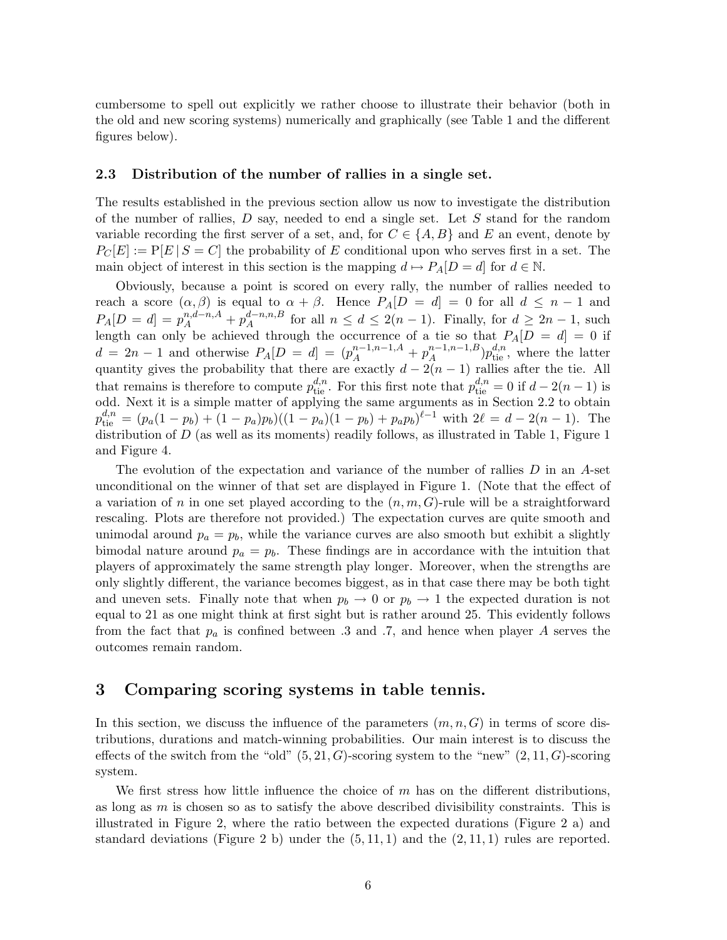cumbersome to spell out explicitly we rather choose to illustrate their behavior (both in the old and new scoring systems) numerically and graphically (see Table 1 and the different figures below).

#### 2.3 Distribution of the number of rallies in a single set.

The results established in the previous section allow us now to investigate the distribution of the number of rallies,  $D$  say, needed to end a single set. Let  $S$  stand for the random variable recording the first server of a set, and, for  $C \in \{A, B\}$  and E an event, denote by  $P_C[E] := P[E | S = C]$  the probability of E conditional upon who serves first in a set. The main object of interest in this section is the mapping  $d \mapsto P_A[D = d]$  for  $d \in \mathbb{N}$ .

Obviously, because a point is scored on every rally, the number of rallies needed to reach a score  $(\alpha, \beta)$  is equal to  $\alpha + \beta$ . Hence  $P_A[D] = d = 0$  for all  $d \leq n - 1$  and  $P_A[D = d] = p_A^{n,d-n,A} + p_A^{d-n,n,B}$  $A^{a-n,n,B}$  for all  $n \leq d \leq 2(n-1)$ . Finally, for  $d \geq 2n-1$ , such length can only be achieved through the occurrence of a tie so that  $P_A[D = d] = 0$  if  $d = 2n - 1$  and otherwise  $P_A[D = d] = (p_A^{n-1,n-1,A} + p_A^{n-1,n-1,B}$  $_{A}^{n-1,n-1,B})p_{\text{tie}}^{d,n}$ , where the latter quantity gives the probability that there are exactly  $d-2(n-1)$  rallies after the tie. All that remains is therefore to compute  $p_{\text{tie}}^{d,n}$ . For this first note that  $p_{\text{tie}}^{d,n} = 0$  if  $d - 2(n-1)$  is odd. Next it is a simple matter of applying the same arguments as in Section 2.2 to obtain  $p_{\text{tie}}^{d,n} = (p_a(1-p_b) + (1-p_a)p_b)((1-p_a)(1-p_b) + p_ap_b)^{\ell-1}$  with  $2\ell = d - 2(n-1)$ . The distribution of  $D$  (as well as its moments) readily follows, as illustrated in Table 1, Figure 1 and Figure 4.

The evolution of the expectation and variance of the number of rallies D in an A-set unconditional on the winner of that set are displayed in Figure 1. (Note that the effect of a variation of n in one set played according to the  $(n, m, G)$ -rule will be a straightforward rescaling. Plots are therefore not provided.) The expectation curves are quite smooth and unimodal around  $p_a = p_b$ , while the variance curves are also smooth but exhibit a slightly bimodal nature around  $p_a = p_b$ . These findings are in accordance with the intuition that players of approximately the same strength play longer. Moreover, when the strengths are only slightly different, the variance becomes biggest, as in that case there may be both tight and uneven sets. Finally note that when  $p_b \to 0$  or  $p_b \to 1$  the expected duration is not equal to 21 as one might think at first sight but is rather around 25. This evidently follows from the fact that  $p_a$  is confined between .3 and .7, and hence when player A serves the outcomes remain random.

## 3 Comparing scoring systems in table tennis.

In this section, we discuss the influence of the parameters  $(m, n, G)$  in terms of score distributions, durations and match-winning probabilities. Our main interest is to discuss the effects of the switch from the "old"  $(5, 21, G)$ -scoring system to the "new"  $(2, 11, G)$ -scoring system.

We first stress how little influence the choice of  $m$  has on the different distributions, as long as  $m$  is chosen so as to satisfy the above described divisibility constraints. This is illustrated in Figure 2, where the ratio between the expected durations (Figure 2 a) and standard deviations (Figure 2 b) under the  $(5, 11, 1)$  and the  $(2, 11, 1)$  rules are reported.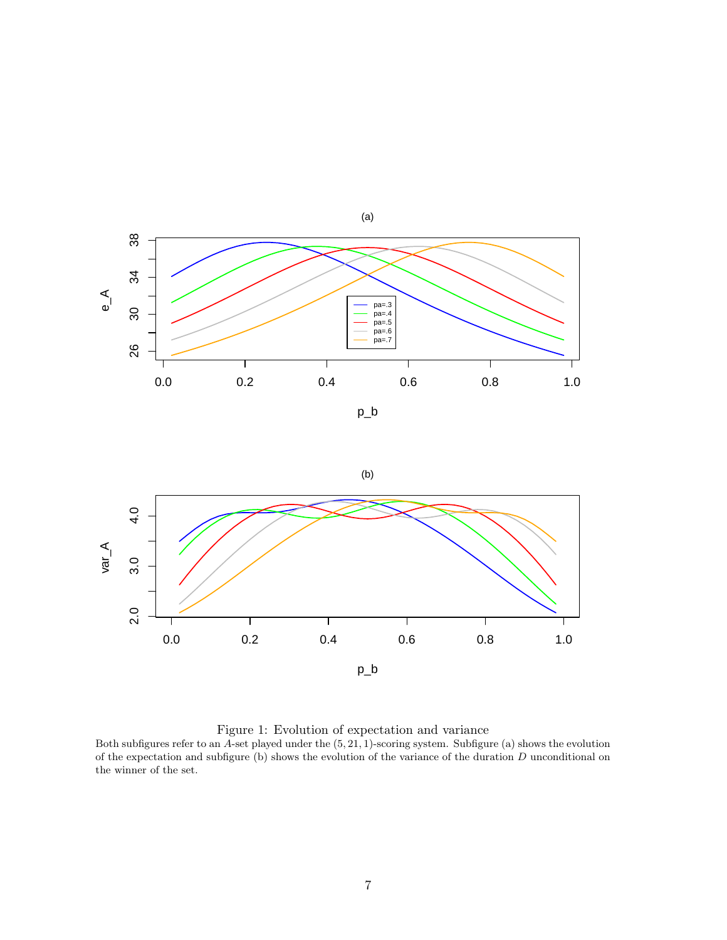

p\_b





Figure 1: Evolution of expectation and variance

Both subfigures refer to an  $\overline{A}$ -set played under the  $(5, 21, 1)$ -scoring system. Subfigure (a) shows the evolution of the expectation and subfigure (b) shows the evolution of the variance of the duration D unconditional on the winner of the set.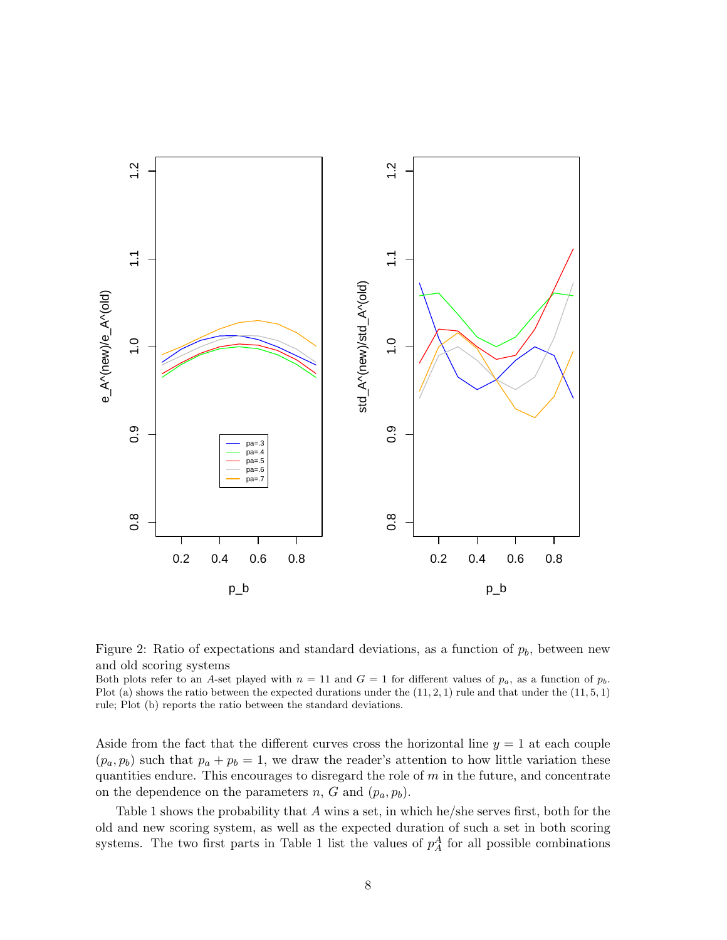



Both plots refer to an A-set played with  $n = 11$  and  $G = 1$  for different values of  $p_a$ , as a function of  $p_b$ . Plot (a) shows the ratio between the expected durations under the  $(11, 2, 1)$  rule and that under the  $(11, 5, 1)$ rule; Plot (b) reports the ratio between the standard deviations.

Aside from the fact that the different curves cross the horizontal line  $y = 1$  at each couple  $(p_a, p_b)$  such that  $p_a + p_b = 1$ , we draw the reader's attention to how little variation these quantities endure. This encourages to disregard the role of  $m$  in the future, and concentrate on the dependence on the parameters  $n$ ,  $G$  and  $(p_a, p_b)$ .

Table 1 shows the probability that A wins a set, in which he/she serves first, both for the old and new scoring system, as well as the expected duration of such a set in both scoring systems. The two first parts in Table 1 list the values of  $p_A^A$  for all possible combinations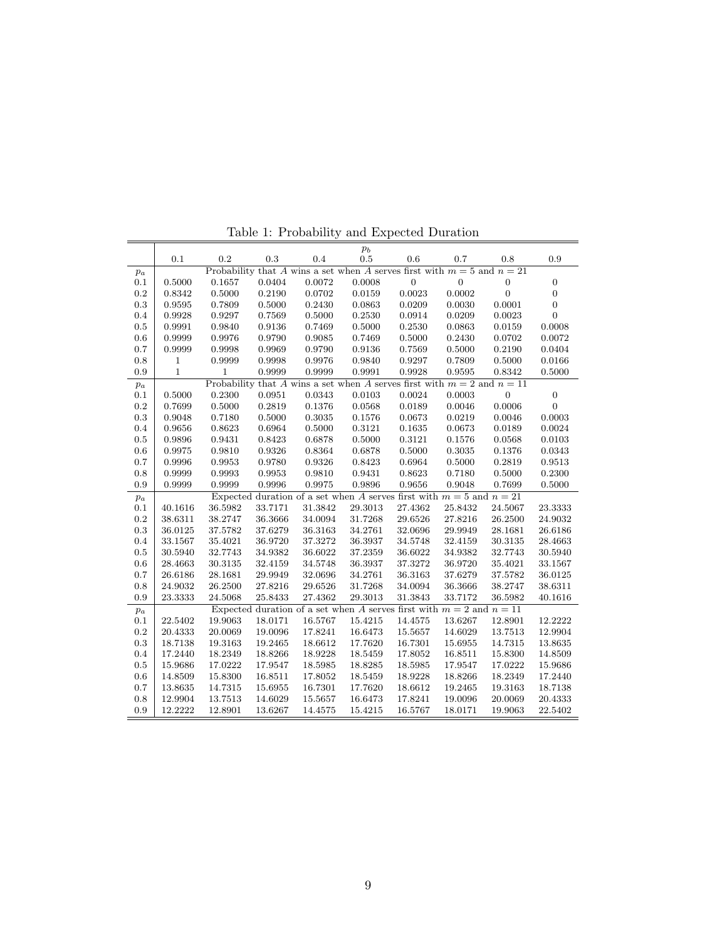|         |                                                                             |              |         | $\ldots$ represented.                                                    |              | and Dapoored D dramon |                  |                |                  |  |  |
|---------|-----------------------------------------------------------------------------|--------------|---------|--------------------------------------------------------------------------|--------------|-----------------------|------------------|----------------|------------------|--|--|
|         | 0.1                                                                         | 0.2          | 0.3     | 0.4                                                                      | $p_b$<br>0.5 | 0.6                   | 0.7              | 0.8            | 0.9              |  |  |
| $p_a$   | Probability that A wins a set when A serves first with $m = 5$ and $n = 21$ |              |         |                                                                          |              |                       |                  |                |                  |  |  |
| 0.1     | 0.5000                                                                      | 0.1657       | 0.0404  | 0.0072                                                                   | 0.0008       | $\overline{0}$        | $\boldsymbol{0}$ | $\overline{0}$ | $\boldsymbol{0}$ |  |  |
| $0.2\,$ | 0.8342                                                                      | 0.5000       | 0.2190  | 0.0702                                                                   | 0.0159       | 0.0023                | 0.0002           | $\overline{0}$ | $\boldsymbol{0}$ |  |  |
| 0.3     | 0.9595                                                                      | 0.7809       | 0.5000  | 0.2430                                                                   | 0.0863       | 0.0209                | 0.0030           | 0.0001         | $\boldsymbol{0}$ |  |  |
| 0.4     | 0.9928                                                                      | $0.9297\,$   | 0.7569  | 0.5000                                                                   | 0.2530       | $\,0.0914\,$          | 0.0209           | $\,0.0023\,$   | $\overline{0}$   |  |  |
| 0.5     | 0.9991                                                                      | 0.9840       | 0.9136  | 0.7469                                                                   | 0.5000       | 0.2530                | 0.0863           | 0.0159         | 0.0008           |  |  |
| 0.6     | 0.9999                                                                      | 0.9976       | 0.9790  | 0.9085                                                                   | 0.7469       | 0.5000                | 0.2430           | 0.0702         | 0.0072           |  |  |
| 0.7     | 0.9999                                                                      | 0.9998       | 0.9969  | 0.9790                                                                   | 0.9136       | 0.7569                | 0.5000           | 0.2190         | 0.0404           |  |  |
| 0.8     | $\,1$                                                                       | 0.9999       | 0.9998  | 0.9976                                                                   | 0.9840       | 0.9297                | 0.7809           | 0.5000         | 0.0166           |  |  |
| 0.9     | $\mathbf{1}$                                                                | $\mathbf{1}$ | 0.9999  | 0.9999                                                                   | 0.9991       | 0.9928                | 0.9595           | 0.8342         | 0.5000           |  |  |
| $p_a$   | Probability that A wins a set when A serves first with $m = 2$ and $n = 11$ |              |         |                                                                          |              |                       |                  |                |                  |  |  |
| 0.1     | 0.5000                                                                      | 0.2300       | 0.0951  | 0.0343                                                                   | 0.0103       | 0.0024                | 0.0003           | $\overline{0}$ | $\boldsymbol{0}$ |  |  |
| $0.2\,$ | 0.7699                                                                      | $0.5000\,$   | 0.2819  | 0.1376                                                                   | 0.0568       | 0.0189                | 0.0046           | 0.0006         | $\boldsymbol{0}$ |  |  |
| 0.3     | 0.9048                                                                      | 0.7180       | 0.5000  | 0.3035                                                                   | 0.1576       | $\,0.0673\,$          | 0.0219           | 0.0046         | 0.0003           |  |  |
| 0.4     | 0.9656                                                                      | 0.8623       | 0.6964  | 0.5000                                                                   | 0.3121       | 0.1635                | 0.0673           | 0.0189         | 0.0024           |  |  |
| 0.5     | 0.9896                                                                      | 0.9431       | 0.8423  | 0.6878                                                                   | 0.5000       | 0.3121                | 0.1576           | 0.0568         | 0.0103           |  |  |
| 0.6     | 0.9975                                                                      | 0.9810       | 0.9326  | 0.8364                                                                   | 0.6878       | 0.5000                | 0.3035           | 0.1376         | 0.0343           |  |  |
| 0.7     | 0.9996                                                                      | 0.9953       | 0.9780  | 0.9326                                                                   | 0.8423       | 0.6964                | 0.5000           | 0.2819         | 0.9513           |  |  |
| 0.8     | 0.9999                                                                      | 0.9993       | 0.9953  | 0.9810                                                                   | 0.9431       | 0.8623                | 0.7180           | 0.5000         | 0.2300           |  |  |
| 0.9     | 0.9999                                                                      | 0.9999       | 0.9996  | 0.9975                                                                   | 0.9896       | 0.9656                | 0.9048           | 0.7699         | 0.5000           |  |  |
| $p_a$   |                                                                             |              |         | Expected duration of a set when A serves first with $m = 5$ and $n = 21$ |              |                       |                  |                |                  |  |  |
| 0.1     | 40.1616                                                                     | 36.5982      | 33.7171 | 31.3842                                                                  | 29.3013      | 27.4362               | 25.8432          | $24.5067\,$    | 23.3333          |  |  |
| 0.2     | 38.6311                                                                     | 38.2747      | 36.3666 | 34.0094                                                                  | 31.7268      | 29.6526               | 27.8216          | 26.2500        | 24.9032          |  |  |
| 0.3     | 36.0125                                                                     | 37.5782      | 37.6279 | 36.3163                                                                  | 34.2761      | $32.0696\,$           | 29.9949          | 28.1681        | 26.6186          |  |  |
| 0.4     | 33.1567                                                                     | 35.4021      | 36.9720 | 37.3272                                                                  | 36.3937      | 34.5748               | 32.4159          | 30.3135        | 28.4663          |  |  |
| 0.5     | 30.5940                                                                     | 32.7743      | 34.9382 | 36.6022                                                                  | 37.2359      | 36.6022               | 34.9382          | 32.7743        | 30.5940          |  |  |
| 0.6     | 28.4663                                                                     | 30.3135      | 32.4159 | 34.5748                                                                  | 36.3937      | 37.3272               | 36.9720          | 35.4021        | 33.1567          |  |  |
| 0.7     | 26.6186                                                                     | 28.1681      | 29.9949 | 32.0696                                                                  | 34.2761      | 36.3163               | 37.6279          | 37.5782        | 36.0125          |  |  |
| 0.8     | 24.9032                                                                     | 26.2500      | 27.8216 | 29.6526                                                                  | 31.7268      | 34.0094               | 36.3666          | 38.2747        | 38.6311          |  |  |
| 0.9     | 23.3333                                                                     | 24.5068      | 25.8433 | 27.4362                                                                  | 29.3013      | 31.3843               | 33.7172          | 36.5982        | 40.1616          |  |  |
| $p_a$   |                                                                             |              |         | Expected duration of a set when A serves first with $m = 2$ and $n = 11$ |              |                       |                  |                |                  |  |  |
| 0.1     | 22.5402                                                                     | 19.9063      | 18.0171 | 16.5767                                                                  | 15.4215      | 14.4575               | 13.6267          | 12.8901        | 12.2222          |  |  |
| 0.2     | 20.4333                                                                     | 20.0069      | 19.0096 | 17.8241                                                                  | $16.6473\,$  | 15.5657               | 14.6029          | 13.7513        | 12.9904          |  |  |
| 0.3     | 18.7138                                                                     | 19.3163      | 19.2465 | 18.6612                                                                  | 17.7620      | 16.7301               | 15.6955          | 14.7315        | 13.8635          |  |  |
| 0.4     | 17.2440                                                                     | 18.2349      | 18.8266 | 18.9228                                                                  | 18.5459      | 17.8052               | 16.8511          | 15.8300        | 14.8509          |  |  |
| 0.5     | 15.9686                                                                     | 17.0222      | 17.9547 | 18.5985                                                                  | 18.8285      | 18.5985               | 17.9547          | 17.0222        | 15.9686          |  |  |
| 0.6     | 14.8509                                                                     | 15.8300      | 16.8511 | 17.8052                                                                  | 18.5459      | 18.9228               | 18.8266          | 18.2349        | 17.2440          |  |  |
| 0.7     | 13.8635                                                                     | 14.7315      | 15.6955 | 16.7301                                                                  | 17.7620      | 18.6612               | $19.2465\,$      | 19.3163        | 18.7138          |  |  |
| 0.8     | 12.9904<br>12.2222                                                          | 13.7513      | 14.6029 | 15.5657                                                                  | 16.6473      | 17.8241               | 19.0096          | 20.0069        | 20.4333          |  |  |
| 0.9     |                                                                             | 12.8901      | 13.6267 | 14.4575                                                                  | 15.4215      | 16.5767               | 18.0171          | 19.9063        | 22.5402          |  |  |

Table 1: Probability and Expected Duration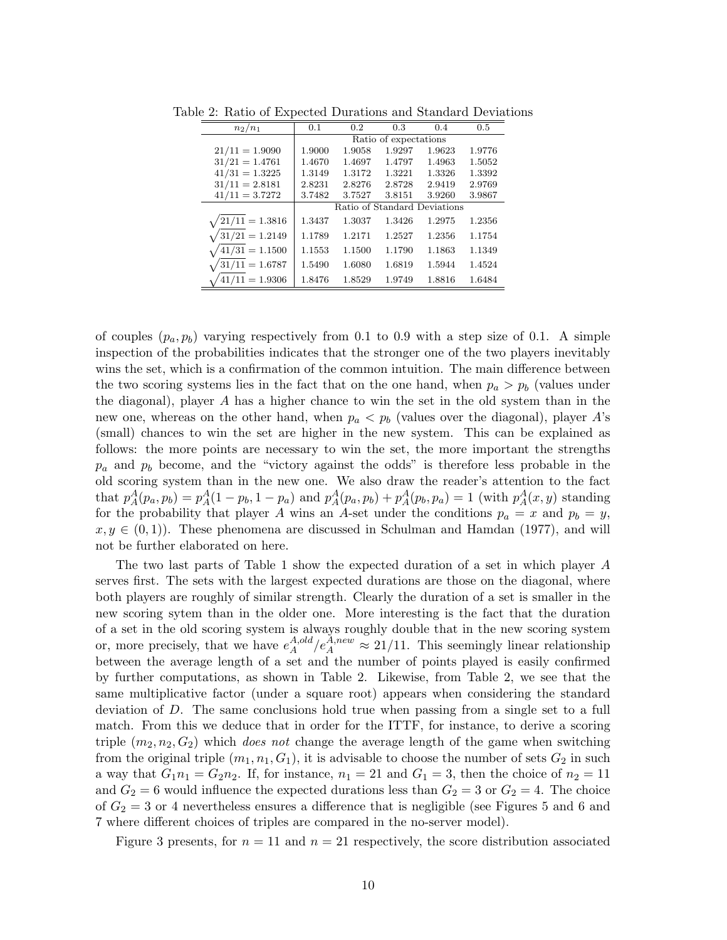| $n_2/n_1$        | 0.1                          | 0.2    | 0.3    | 0.4    | 0.5    |  |  |
|------------------|------------------------------|--------|--------|--------|--------|--|--|
|                  | Ratio of expectations        |        |        |        |        |  |  |
| $21/11 = 1.9090$ | 1.9000                       | 1.9058 | 1.9297 | 1.9623 | 1.9776 |  |  |
| $31/21 = 1.4761$ | 1.4670                       | 1.4697 | 1.4797 | 1.4963 | 1.5052 |  |  |
| $41/31 = 1.3225$ | 1.3149                       | 1.3172 | 1.3221 | 1.3326 | 1.3392 |  |  |
| $31/11 = 2.8181$ | 2.8231                       | 2.8276 | 2.8728 | 2.9419 | 2.9769 |  |  |
| $41/11 = 3.7272$ | 3.7482                       | 3.7527 | 3.8151 | 3.9260 | 3.9867 |  |  |
|                  | Ratio of Standard Deviations |        |        |        |        |  |  |
| $21/11 = 1.3816$ | 1.3437                       | 1.3037 | 1.3426 | 1.2975 | 1.2356 |  |  |
| $31/21 = 1.2149$ | 1.1789                       | 1.2171 | 1.2527 | 1.2356 | 1.1754 |  |  |
| $41/31 = 1.1500$ | 1.1553                       | 1.1500 | 1.1790 | 1.1863 | 1.1349 |  |  |
| $31/11 = 1.6787$ | 1.5490                       | 1.6080 | 1.6819 | 1.5944 | 1.4524 |  |  |
| $41/11 = 1.9306$ | 1.8476                       | 1.8529 | 1.9749 | 1.8816 | 1.6484 |  |  |

Table 2: Ratio of Expected Durations and Standard Deviations

of couples  $(p_a, p_b)$  varying respectively from 0.1 to 0.9 with a step size of 0.1. A simple inspection of the probabilities indicates that the stronger one of the two players inevitably wins the set, which is a confirmation of the common intuition. The main difference between the two scoring systems lies in the fact that on the one hand, when  $p_a > p_b$  (values under the diagonal), player A has a higher chance to win the set in the old system than in the new one, whereas on the other hand, when  $p_a < p_b$  (values over the diagonal), player A's (small) chances to win the set are higher in the new system. This can be explained as follows: the more points are necessary to win the set, the more important the strengths  $p_a$  and  $p_b$  become, and the "victory against the odds" is therefore less probable in the old scoring system than in the new one. We also draw the reader's attention to the fact that  $p_A^A(p_a, p_b) = p_A^A(1 - p_b, 1 - p_a)$  and  $p_A^A(p_a, p_b) + p_A^A(p_b, p_a) = 1$  (with  $p_A^A(x, y)$  standing for the probability that player A wins an A-set under the conditions  $p_a = x$  and  $p_b = y$ ,  $x, y \in (0, 1)$ . These phenomena are discussed in Schulman and Hamdan (1977), and will not be further elaborated on here.

The two last parts of Table 1 show the expected duration of a set in which player A serves first. The sets with the largest expected durations are those on the diagonal, where both players are roughly of similar strength. Clearly the duration of a set is smaller in the new scoring sytem than in the older one. More interesting is the fact that the duration of a set in the old scoring system is always roughly double that in the new scoring system or, more precisely, that we have  $e^{A,old}_A$  $_{A}^{A,old}/e_A^{\bar{A},new} \approx 21/11$ . This seemingly linear relationship between the average length of a set and the number of points played is easily confirmed by further computations, as shown in Table 2. Likewise, from Table 2, we see that the same multiplicative factor (under a square root) appears when considering the standard deviation of D. The same conclusions hold true when passing from a single set to a full match. From this we deduce that in order for the ITTF, for instance, to derive a scoring triple  $(m_2, n_2, G_2)$  which *does not* change the average length of the game when switching from the original triple  $(m_1, n_1, G_1)$ , it is advisable to choose the number of sets  $G_2$  in such a way that  $G_1n_1 = G_2n_2$ . If, for instance,  $n_1 = 21$  and  $G_1 = 3$ , then the choice of  $n_2 = 11$ and  $G_2 = 6$  would influence the expected durations less than  $G_2 = 3$  or  $G_2 = 4$ . The choice of  $G_2 = 3$  or 4 nevertheless ensures a difference that is negligible (see Figures 5 and 6 and 7 where different choices of triples are compared in the no-server model).

Figure 3 presents, for  $n = 11$  and  $n = 21$  respectively, the score distribution associated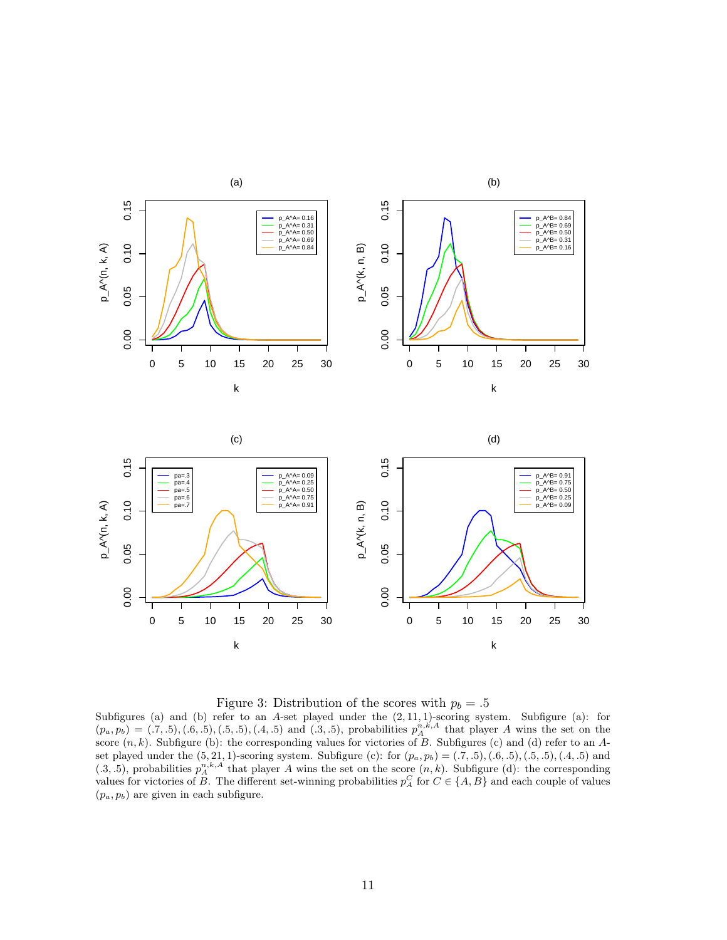



Subfigures (a) and (b) refer to an A-set played under the  $(2, 11, 1)$ -scoring system. Subfigure (a): for  $(p_a, p_b) = (.7, .5), (.6, .5), (.5, .5), (.4, .5)$  and  $(.3, .5),$  probabilities  $p_A^{n,k,A}$  that player A wins the set on the score  $(n, k)$ . Subfigure (b): the corresponding values for victories of B. Subfigures (c) and (d) refer to an Aset played under the  $(5, 21, 1)$ -scoring system. Subfigure (c): for  $(p_a, p_b) = (.7, .5), (.6, .5), (.5, .5), (.4, .5)$  and  $(0.3, 0.5)$ , probabilities  $p_A^{n,k,A}$  that player A wins the set on the score  $(n, k)$ . Subfigure (d): the corresponding values for victories of B. The different set-winning probabilities  $p_A^C$  for  $C \in \{A, B\}$  and each couple of values  $(p_a, p_b)$  are given in each subfigure.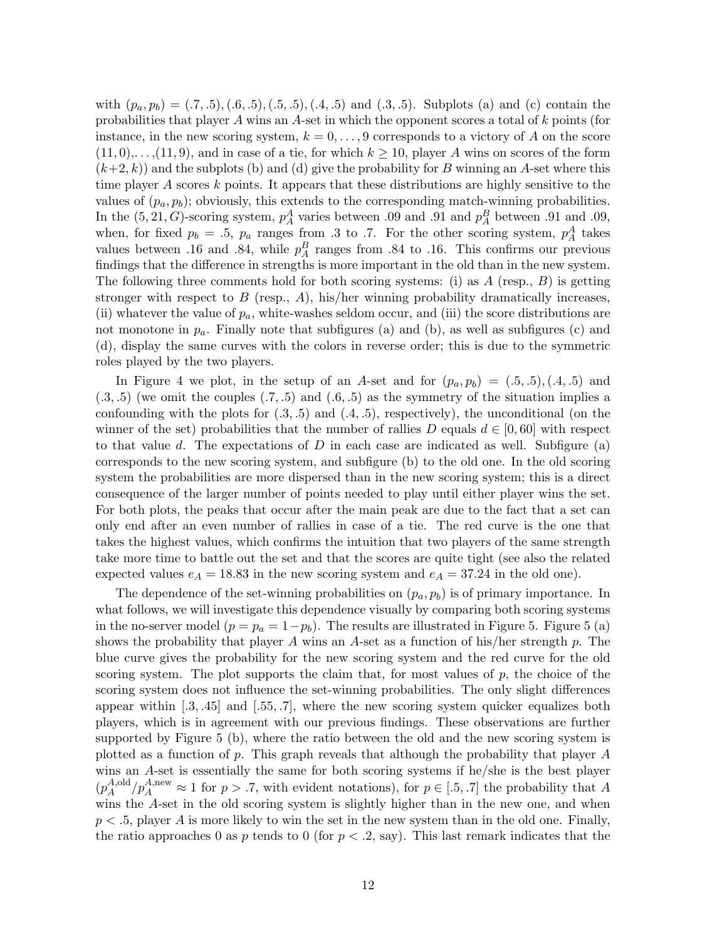with  $(p_a, p_b) = (.7, .5), (.6, .5), (.5, .5), (.4, .5)$  and  $(.3, .5)$ . Subplots (a) and (c) contain the probabilities that player A wins an A-set in which the opponent scores a total of k points (for instance, in the new scoring system,  $k = 0, \ldots, 9$  corresponds to a victory of A on the score  $(11,0),\ldots,(11,9)$ , and in case of a tie, for which  $k \ge 10$ , player A wins on scores of the form  $(k+2, k)$  and the subplots (b) and (d) give the probability for B winning an A-set where this time player A scores k points. It appears that these distributions are highly sensitive to the values of  $(p_a, p_b)$ ; obviously, this extends to the corresponding match-winning probabilities. In the  $(5, 21, G)$ -scoring system,  $p_A^A$  varies between .09 and .91 and  $p_A^B$  between .91 and .09, when, for fixed  $p_b = .5$ ,  $p_a$  ranges from .3 to .7. For the other scoring system,  $p_A^A$  takes values between .16 and .84, while  $p_A^B$  ranges from .84 to .16. This confirms our previous findings that the difference in strengths is more important in the old than in the new system. The following three comments hold for both scoring systems: (i) as  $A$  (resp.,  $B$ ) is getting stronger with respect to  $B$  (resp.,  $A$ ), his/her winning probability dramatically increases, (ii) whatever the value of  $p_a$ , white-washes seldom occur, and (iii) the score distributions are not monotone in  $p_a$ . Finally note that subfigures (a) and (b), as well as subfigures (c) and (d), display the same curves with the colors in reverse order; this is due to the symmetric roles played by the two players.

In Figure 4 we plot, in the setup of an A-set and for  $(p_a, p_b) = (.5, .5), (.4, .5)$  and  $(.3, .5)$  (we omit the couples  $(.7, .5)$  and  $(.6, .5)$  as the symmetry of the situation implies a confounding with the plots for  $(.3, .5)$  and  $(.4, .5)$ , respectively), the unconditional (on the winner of the set) probabilities that the number of rallies D equals  $d \in [0, 60]$  with respect to that value d. The expectations of  $D$  in each case are indicated as well. Subfigure (a) corresponds to the new scoring system, and subfigure (b) to the old one. In the old scoring system the probabilities are more dispersed than in the new scoring system; this is a direct consequence of the larger number of points needed to play until either player wins the set. For both plots, the peaks that occur after the main peak are due to the fact that a set can only end after an even number of rallies in case of a tie. The red curve is the one that takes the highest values, which confirms the intuition that two players of the same strength take more time to battle out the set and that the scores are quite tight (see also the related expected values  $e_A = 18.83$  in the new scoring system and  $e_A = 37.24$  in the old one).

The dependence of the set-winning probabilities on  $(p_a, p_b)$  is of primary importance. In what follows, we will investigate this dependence visually by comparing both scoring systems in the no-server model  $(p = p_a = 1-p_b)$ . The results are illustrated in Figure 5. Figure 5 (a) shows the probability that player A wins an A-set as a function of his/her strength  $p$ . The blue curve gives the probability for the new scoring system and the red curve for the old scoring system. The plot supports the claim that, for most values of  $p$ , the choice of the scoring system does not influence the set-winning probabilities. The only slight differences appear within  $[0.3, 0.45]$  and  $[0.55, 0.7]$ , where the new scoring system quicker equalizes both players, which is in agreement with our previous findings. These observations are further supported by Figure 5 (b), where the ratio between the old and the new scoring system is plotted as a function of p. This graph reveals that although the probability that player  $A$ wins an A-set is essentially the same for both scoring systems if he/she is the best player  $(p_A^{A,old})$  $_{A}^{A,old}/p_A^{A,new} \approx 1$  for  $p > .7$ , with evident notations), for  $p \in [.5, .7]$  the probability that A wins the A-set in the old scoring system is slightly higher than in the new one, and when  $p < 0.5$ , player A is more likely to win the set in the new system than in the old one. Finally, the ratio approaches 0 as p tends to 0 (for  $p < 0.2$ , say). This last remark indicates that the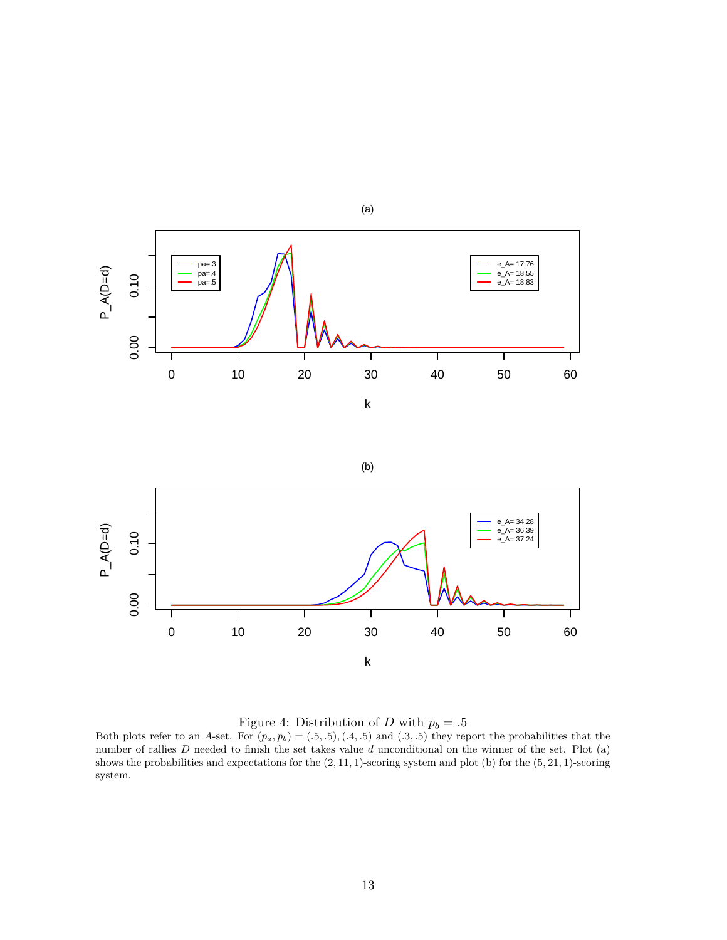

Figure 4: Distribution of D with  $p_b = .5$ 

Both plots refer to an A-set. For  $(p_a, p_b) = (.5, .5), (.4, .5)$  and  $(.3, .5)$  they report the probabilities that the number of rallies  $D$  needed to finish the set takes value  $d$  unconditional on the winner of the set. Plot (a) shows the probabilities and expectations for the (2, 11, 1)-scoring system and plot (b) for the (5, 21, 1)-scoring system.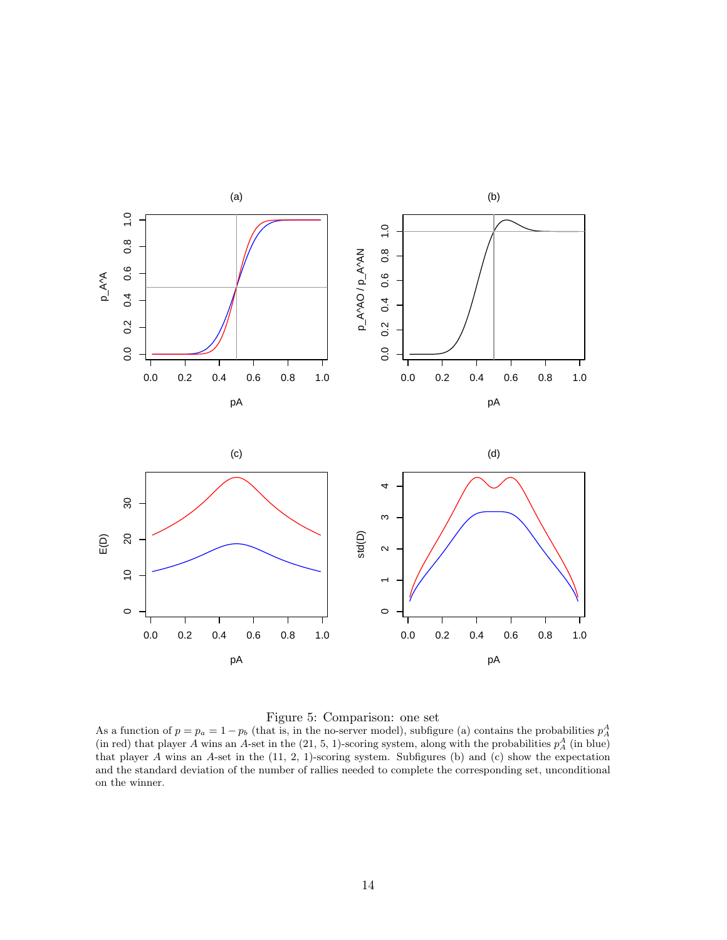

### Figure 5: Comparison: one set

As a function of  $p = p_a = 1 - p_b$  (that is, in the no-server model), subfigure (a) contains the probabilities  $p_A^A$ (in red) that player A wins an A-set in the  $(21, 5, 1)$ -scoring system, along with the probabilities  $p_A^A$  (in blue) that player A wins an A-set in the (11, 2, 1)-scoring system. Subfigures (b) and (c) show the expectation and the standard deviation of the number of rallies needed to complete the corresponding set, unconditional on the winner.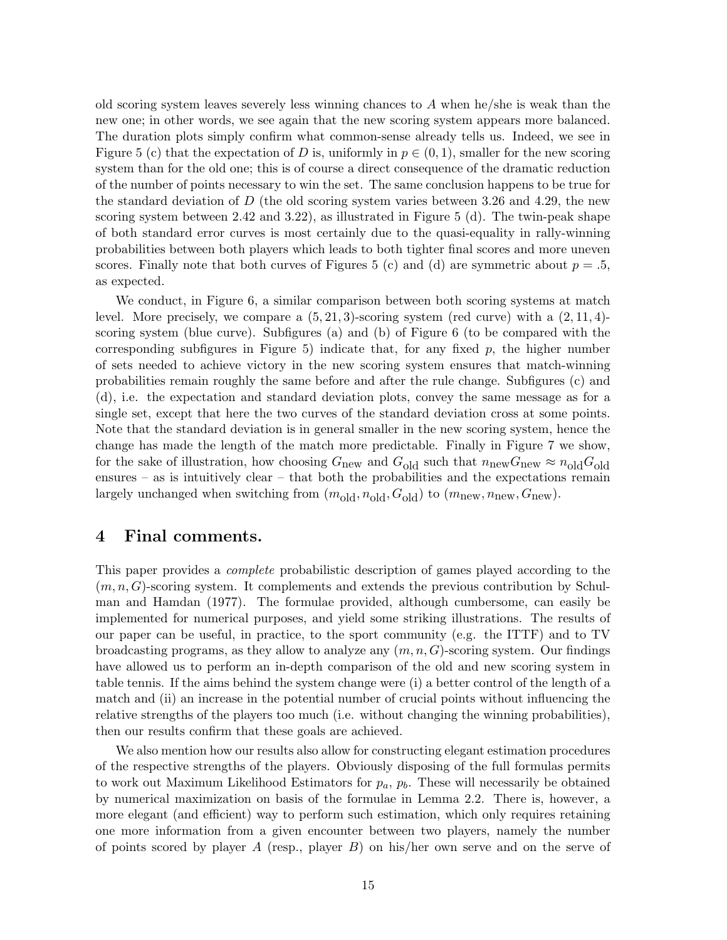old scoring system leaves severely less winning chances to  $A$  when he/she is weak than the new one; in other words, we see again that the new scoring system appears more balanced. The duration plots simply confirm what common-sense already tells us. Indeed, we see in Figure 5 (c) that the expectation of D is, uniformly in  $p \in (0,1)$ , smaller for the new scoring system than for the old one; this is of course a direct consequence of the dramatic reduction of the number of points necessary to win the set. The same conclusion happens to be true for the standard deviation of  $D$  (the old scoring system varies between 3.26 and 4.29, the new scoring system between 2.42 and 3.22), as illustrated in Figure 5 (d). The twin-peak shape of both standard error curves is most certainly due to the quasi-equality in rally-winning probabilities between both players which leads to both tighter final scores and more uneven scores. Finally note that both curves of Figures 5 (c) and (d) are symmetric about  $p = .5$ , as expected.

We conduct, in Figure 6, a similar comparison between both scoring systems at match level. More precisely, we compare a  $(5, 21, 3)$ -scoring system (red curve) with a  $(2, 11, 4)$ scoring system (blue curve). Subfigures (a) and (b) of Figure 6 (to be compared with the corresponding subfigures in Figure 5) indicate that, for any fixed  $p$ , the higher number of sets needed to achieve victory in the new scoring system ensures that match-winning probabilities remain roughly the same before and after the rule change. Subfigures (c) and (d), i.e. the expectation and standard deviation plots, convey the same message as for a single set, except that here the two curves of the standard deviation cross at some points. Note that the standard deviation is in general smaller in the new scoring system, hence the change has made the length of the match more predictable. Finally in Figure 7 we show, for the sake of illustration, how choosing  $G_{\text{new}}$  and  $G_{\text{old}}$  such that  $n_{\text{new}}G_{\text{new}} \approx n_{\text{old}}G_{\text{old}}$ ensures – as is intuitively clear – that both the probabilities and the expectations remain largely unchanged when switching from  $(m_{old}, n_{old}, G_{old})$  to  $(m_{new}, n_{new}, G_{new})$ .

# 4 Final comments.

This paper provides a complete probabilistic description of games played according to the  $(m, n, G)$ -scoring system. It complements and extends the previous contribution by Schulman and Hamdan (1977). The formulae provided, although cumbersome, can easily be implemented for numerical purposes, and yield some striking illustrations. The results of our paper can be useful, in practice, to the sport community (e.g. the ITTF) and to TV broadcasting programs, as they allow to analyze any  $(m, n, G)$ -scoring system. Our findings have allowed us to perform an in-depth comparison of the old and new scoring system in table tennis. If the aims behind the system change were (i) a better control of the length of a match and (ii) an increase in the potential number of crucial points without influencing the relative strengths of the players too much (i.e. without changing the winning probabilities), then our results confirm that these goals are achieved.

We also mention how our results also allow for constructing elegant estimation procedures of the respective strengths of the players. Obviously disposing of the full formulas permits to work out Maximum Likelihood Estimators for  $p_a$ ,  $p_b$ . These will necessarily be obtained by numerical maximization on basis of the formulae in Lemma 2.2. There is, however, a more elegant (and efficient) way to perform such estimation, which only requires retaining one more information from a given encounter between two players, namely the number of points scored by player A (resp., player  $B$ ) on his/her own serve and on the serve of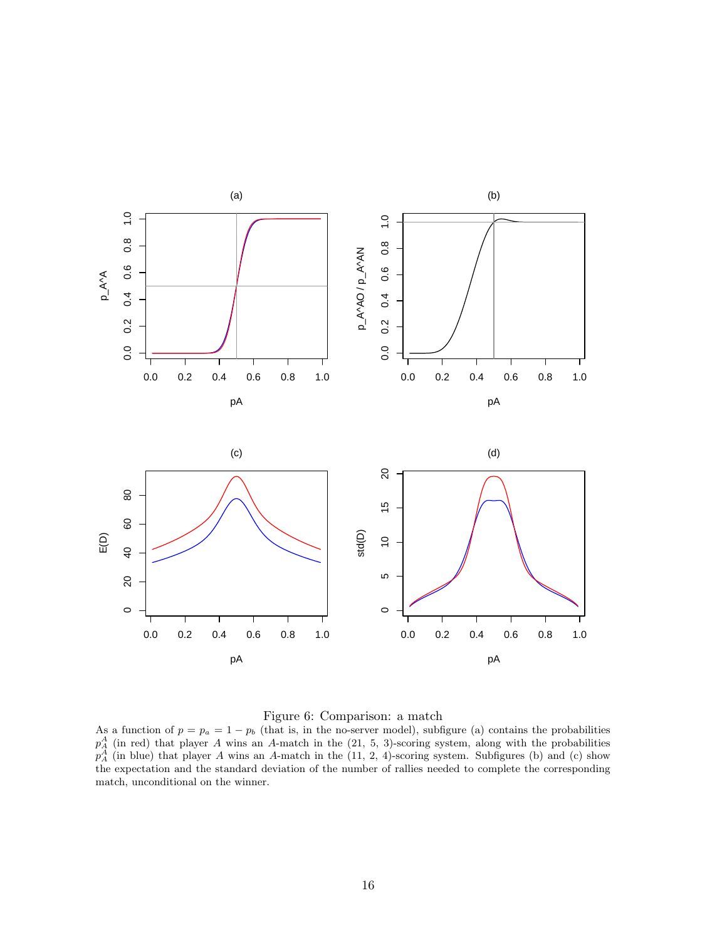

### Figure 6: Comparison: a match

As a function of  $p = p_a = 1 - p_b$  (that is, in the no-server model), subfigure (a) contains the probabilities  $p_A^A$  (in red) that player A wins an A-match in the (21, 5, 3)-scoring system, along with the probabilities  $p_A^A$  (in blue) that player A wins an A-match in the (11, 2, 4)-scoring system. Subfigures (b) and (c) show the expectation and the standard deviation of the number of rallies needed to complete the corresponding match, unconditional on the winner.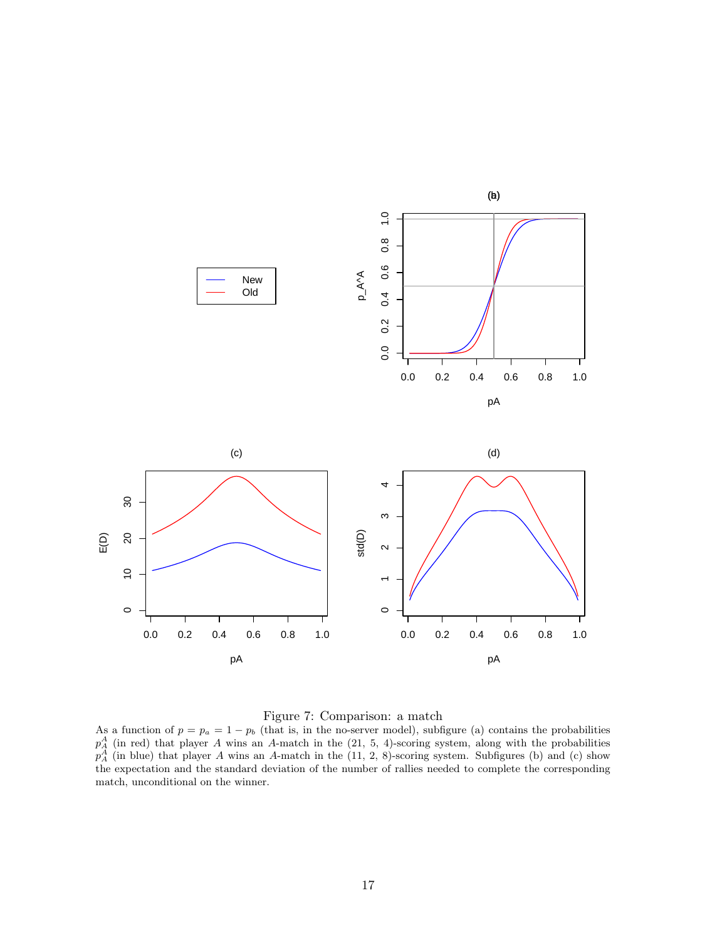

### Figure 7: Comparison: a match

As a function of  $p = p_a = 1 - p_b$  (that is, in the no-server model), subfigure (a) contains the probabilities  $p_A^A$  (in red) that player A wins an A-match in the (21, 5, 4)-scoring system, along with the probabilities  $p_A^A$  (in blue) that player A wins an A-match in the (11, 2, 8)-scoring system. Subfigures (b) and (c) show the expectation and the standard deviation of the number of rallies needed to complete the corresponding match, unconditional on the winner.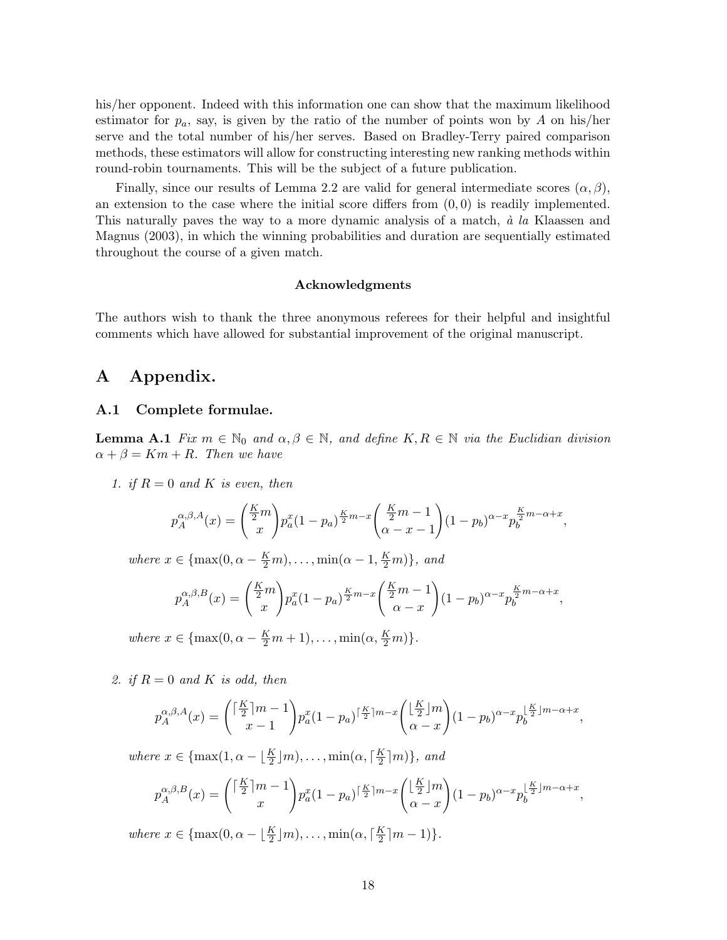his/her opponent. Indeed with this information one can show that the maximum likelihood estimator for  $p_a$ , say, is given by the ratio of the number of points won by A on his/her serve and the total number of his/her serves. Based on Bradley-Terry paired comparison methods, these estimators will allow for constructing interesting new ranking methods within round-robin tournaments. This will be the subject of a future publication.

Finally, since our results of Lemma 2.2 are valid for general intermediate scores  $(\alpha, \beta)$ , an extension to the case where the initial score differs from  $(0, 0)$  is readily implemented. This naturally paves the way to a more dynamic analysis of a match,  $\dot{a}$  la Klaassen and Magnus (2003), in which the winning probabilities and duration are sequentially estimated throughout the course of a given match.

#### Acknowledgments

The authors wish to thank the three anonymous referees for their helpful and insightful comments which have allowed for substantial improvement of the original manuscript.

# A Appendix.

### A.1 Complete formulae.

**Lemma A.1** Fix  $m \in \mathbb{N}_0$  and  $\alpha, \beta \in \mathbb{N}$ , and define  $K, R \in \mathbb{N}$  via the Euclidian division  $\alpha + \beta = Km + R$ . Then we have

1. if  $R = 0$  and K is even, then

$$
p_A^{\alpha,\beta,A}(x) = \binom{\frac{K}{2}m}{x} p_a^x (1-p_a)^{\frac{K}{2}m-x} \binom{\frac{K}{2}m-1}{\alpha-x-1} (1-p_b)^{\alpha-x} p_b^{\frac{K}{2}m-\alpha+x},
$$

where  $x \in \{\max(0, \alpha - \frac{K}{2}m), \dots, \min(\alpha - 1, \frac{K}{2}m)\},\$ and

$$
p_A^{\alpha,\beta,B}(x) = \binom{\frac{K}{2}m}{x} p_a^x (1-p_a)^{\frac{K}{2}m-x} \binom{\frac{K}{2}m-1}{\alpha-x} (1-p_b)^{\alpha-x} p_b^{\frac{K}{2}m-\alpha+x},
$$

where  $x \in \{\max(0, \alpha - \frac{K}{2}m + 1), \dots, \min(\alpha, \frac{K}{2}m)\}.$ 

2. if  $R = 0$  and K is odd, then

$$
p_A^{\alpha,\beta,A}(x) = \binom{\lceil \frac{K}{2} \rceil m - 1}{x - 1} p_a^x (1 - p_a)^{\lceil \frac{K}{2} \rceil m - x} \binom{\lfloor \frac{K}{2} \rfloor m}{\alpha - x} (1 - p_b)^{\alpha - x} p_b^{\lfloor \frac{K}{2} \rfloor m - \alpha + x},
$$

where  $x \in \{\max(1, \alpha - \lfloor \frac{K}{2} \rfloor m), \dots, \min(\alpha, \lceil \frac{K}{2} \rceil \})$  $\frac{K}{2}$ [m], and

$$
p_A^{\alpha,\beta,B}(x) = \binom{\lceil \frac{K}{2} \rceil m - 1}{x} p_a^x (1 - p_a)^{\lceil \frac{K}{2} \rceil m - x} \binom{\lfloor \frac{K}{2} \rfloor m}{\alpha - x} (1 - p_b)^{\alpha - x} p_b^{\lfloor \frac{K}{2} \rfloor m - \alpha + x},
$$

where  $x \in \{\max(0, \alpha - \lfloor \frac{K}{2} \rfloor m), \dots, \min(\alpha, \lceil \frac{K}{2} \rceil \})$  $\frac{K}{2}$ [m - 1).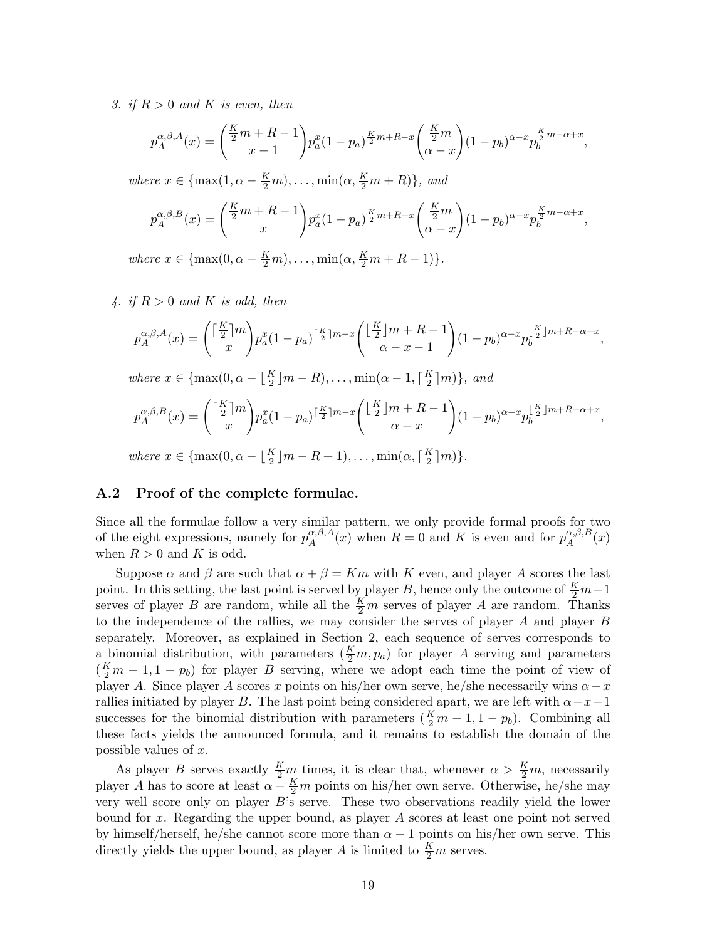3. if  $R > 0$  and K is even, then

$$
p_A^{\alpha,\beta,A}(x) = \binom{\frac{K}{2}m + R - 1}{x - 1} p_a^x (1 - p_a)^{\frac{K}{2}m + R - x} \binom{\frac{K}{2}m}{\alpha - x} (1 - p_b)^{\alpha - x} p_b^{\frac{K}{2}m - \alpha + x},
$$

where  $x \in \{\max(1, \alpha - \frac{K}{2}m), \dots, \min(\alpha, \frac{K}{2}m + R)\},\$ and

$$
p_A^{\alpha,\beta,B}(x) = \binom{\frac{K}{2}m + R - 1}{x} p_a^x (1 - p_a)^{\frac{K}{2}m + R - x} \binom{\frac{K}{2}m}{\alpha - x} (1 - p_b)^{\alpha - x} p_b^{\frac{K}{2}m - \alpha + x},
$$

where  $x \in \{\max(0, \alpha - \frac{K}{2}m), \dots, \min(\alpha, \frac{K}{2}m + R - 1)\}.$ 

4. if  $R > 0$  and K is odd, then

$$
p_A^{\alpha,\beta,A}(x) = \binom{\lceil \frac{K}{2} \rceil m}{x} p_a^x (1 - p_a)^{\lceil \frac{K}{2} \rceil m - x} \binom{\lfloor \frac{K}{2} \rfloor m + R - 1}{\alpha - x - 1} (1 - p_b)^{\alpha - x} p_b^{\lfloor \frac{K}{2} \rfloor m + R - \alpha + x},
$$
  
where  $x \in \{\max(0, \alpha - \lfloor \frac{K}{2} \rfloor m - R), \dots, \min(\alpha - 1, \lceil \frac{K}{2} \rceil m)\},$  and  

$$
p_A^{\alpha,\beta,B}(x) = \binom{\lceil \frac{K}{2} \rceil m}{x} p_a^x (1 - p_a)^{\lceil \frac{K}{2} \rceil m - x} \binom{\lfloor \frac{K}{2} \rfloor m + R - 1}{\alpha - x} (1 - p_b)^{\alpha - x} p_b^{\lfloor \frac{K}{2} \rfloor m + R - \alpha + x},
$$
  
where  $x \in \{\max(0, \alpha - \lfloor \frac{K}{2} \rfloor m - R + 1), \dots, \min(\alpha, \lceil \frac{K}{2} \rceil m)\}.$ 

#### A.2 Proof of the complete formulae.

Since all the formulae follow a very similar pattern, we only provide formal proofs for two of the eight expressions, namely for  $p_A^{\alpha,\beta,A}$  $A^{(\alpha,\beta,A)}_A(x)$  when  $R=0$  and K is even and for  $p_A^{\alpha,\beta,B}$  $A^{\alpha,\beta,B}(x)$ when  $R > 0$  and K is odd.

Suppose  $\alpha$  and  $\beta$  are such that  $\alpha + \beta = Km$  with K even, and player A scores the last point. In this setting, the last point is served by player B, hence only the outcome of  $\frac{K}{2}m-1$ serves of player B are random, while all the  $\frac{K}{2}m$  serves of player A are random. Thanks to the independence of the rallies, we may consider the serves of player A and player B separately. Moreover, as explained in Section 2, each sequence of serves corresponds to a binomial distribution, with parameters  $(\frac{K}{2}m, p_a)$  for player A serving and parameters  $(\frac{K}{2}m - 1, 1 - p_b)$  for player B serving, where we adopt each time the point of view of player A. Since player A scores x points on his/her own serve, he/she necessarily wins  $\alpha - x$ rallies initiated by player B. The last point being considered apart, we are left with  $\alpha-x-1$ successes for the binomial distribution with parameters  $(\frac{K}{2}m - 1, 1 - p_b)$ . Combining all these facts yields the announced formula, and it remains to establish the domain of the possible values of x.

As player B serves exactly  $\frac{K}{2}m$  times, it is clear that, whenever  $\alpha > \frac{K}{2}m$ , necessarily player A has to score at least  $\alpha - \frac{K}{2}m$  points on his/her own serve. Otherwise, he/she may very well score only on player B's serve. These two observations readily yield the lower bound for x. Regarding the upper bound, as player A scores at least one point not served by himself/herself, he/she cannot score more than  $\alpha - 1$  points on his/her own serve. This directly yields the upper bound, as player A is limited to  $\frac{K}{2}m$  serves.